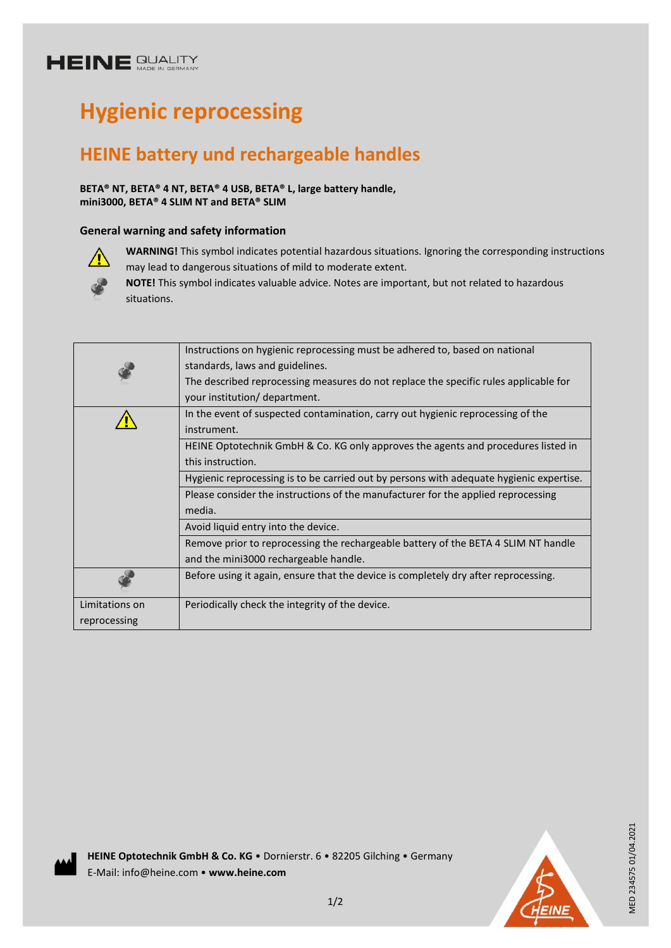# **HEINE GUALITY**

# **Hygienic reprocessing**

# **HEINE battery und rechargeable handles**

**BETA® NT, BETA® 4 NT, BETA® 4 USB, BETA® L, large battery handle, mini3000, BETA® 4 SLIM NT and BETA® SLIM**

### **General warning and safety information**



**WARNING!** This symbol indicates potential hazardous situations. Ignoring the corresponding instructions may lead to dangerous situations of mild to moderate extent.

**NOTE!** This symbol indicates valuable advice. Notes are important, but not related to hazardous situations.

|                | Instructions on hygienic reprocessing must be adhered to, based on national             |
|----------------|-----------------------------------------------------------------------------------------|
|                | standards, laws and guidelines.                                                         |
|                | The described reprocessing measures do not replace the specific rules applicable for    |
|                | your institution/ department.                                                           |
|                | In the event of suspected contamination, carry out hygienic reprocessing of the         |
|                | instrument.                                                                             |
|                | HEINE Optotechnik GmbH & Co. KG only approves the agents and procedures listed in       |
|                | this instruction.                                                                       |
|                | Hygienic reprocessing is to be carried out by persons with adequate hygienic expertise. |
|                | Please consider the instructions of the manufacturer for the applied reprocessing       |
|                | media.                                                                                  |
|                | Avoid liquid entry into the device.                                                     |
|                | Remove prior to reprocessing the rechargeable battery of the BETA 4 SLIM NT handle      |
|                | and the mini3000 rechargeable handle.                                                   |
|                | Before using it again, ensure that the device is completely dry after reprocessing.     |
| Limitations on | Periodically check the integrity of the device.                                         |
| reprocessing   |                                                                                         |
|                |                                                                                         |





MED 234575 01/04.2021 MED 234575 01/04.2021